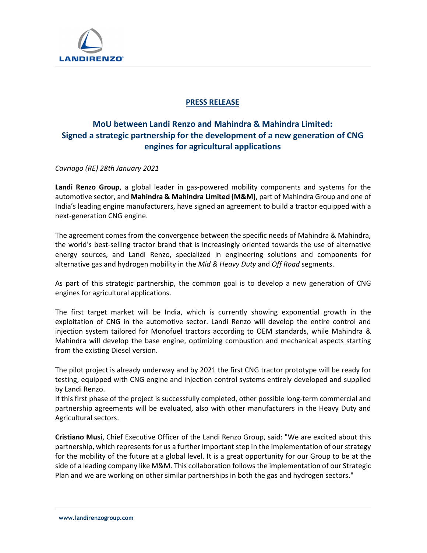

## PRESS RELEASE

# MoU between Landi Renzo and Mahindra & Mahindra Limited: Signed a strategic partnership for the development of a new generation of CNG engines for agricultural applications

Cavriago (RE) 28th January 2021

Landi Renzo Group, a global leader in gas-powered mobility components and systems for the automotive sector, and Mahindra & Mahindra Limited (M&M), part of Mahindra Group and one of India's leading engine manufacturers, have signed an agreement to build a tractor equipped with a next-generation CNG engine.

The agreement comes from the convergence between the specific needs of Mahindra & Mahindra, the world's best-selling tractor brand that is increasingly oriented towards the use of alternative energy sources, and Landi Renzo, specialized in engineering solutions and components for alternative gas and hydrogen mobility in the Mid & Heavy Duty and Off Road segments.

As part of this strategic partnership, the common goal is to develop a new generation of CNG engines for agricultural applications.

The first target market will be India, which is currently showing exponential growth in the exploitation of CNG in the automotive sector. Landi Renzo will develop the entire control and injection system tailored for Monofuel tractors according to OEM standards, while Mahindra & Mahindra will develop the base engine, optimizing combustion and mechanical aspects starting from the existing Diesel version.

The pilot project is already underway and by 2021 the first CNG tractor prototype will be ready for testing, equipped with CNG engine and injection control systems entirely developed and supplied by Landi Renzo.

If this first phase of the project is successfully completed, other possible long-term commercial and partnership agreements will be evaluated, also with other manufacturers in the Heavy Duty and Agricultural sectors.

Cristiano Musi, Chief Executive Officer of the Landi Renzo Group, said: "We are excited about this partnership, which represents for us a further important step in the implementation of our strategy for the mobility of the future at a global level. It is a great opportunity for our Group to be at the side of a leading company like M&M. This collaboration follows the implementation of our Strategic Plan and we are working on other similar partnerships in both the gas and hydrogen sectors."